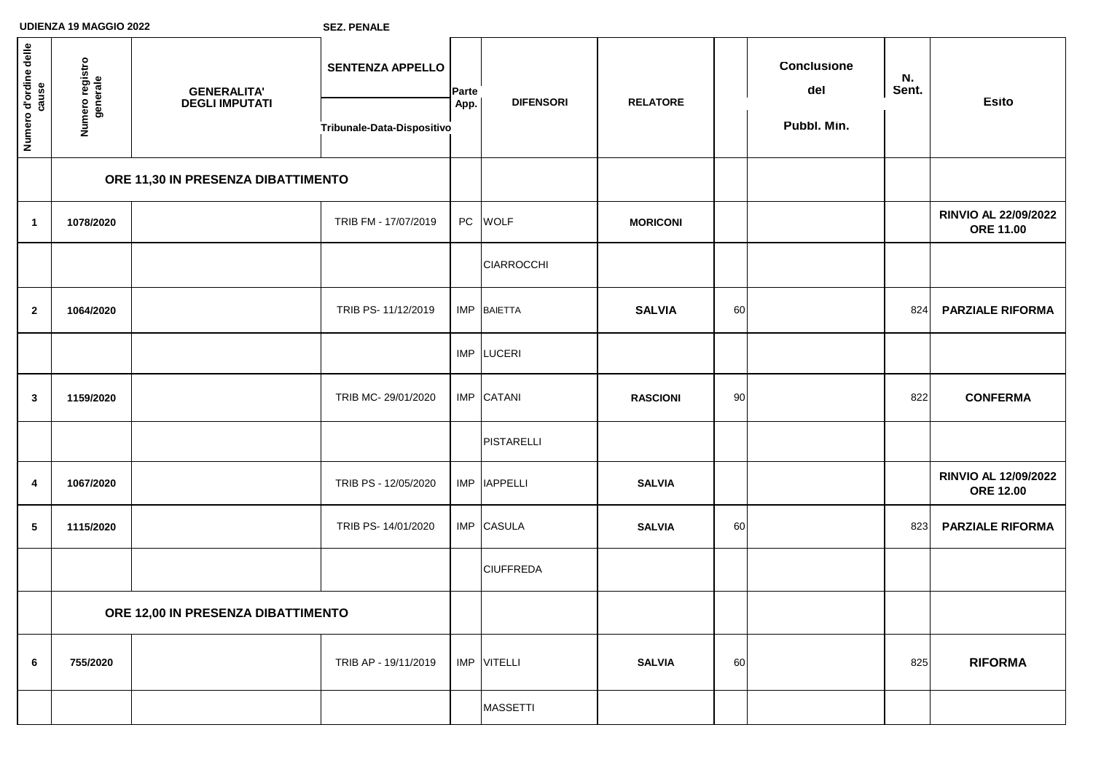| Numero d'ordine delle<br>cause | Numero registro<br>generale        | <b>GENERALITA'<br/>DEGLI IMPUTATI</b> | <b>SENTENZA APPELLO</b>    | Parte<br>App. | <b>DIFENSORI</b>  | <b>RELATORE</b> |    | <b>Conclusione</b><br>del | N.<br>Sent. | <b>Esito</b>                                    |
|--------------------------------|------------------------------------|---------------------------------------|----------------------------|---------------|-------------------|-----------------|----|---------------------------|-------------|-------------------------------------------------|
|                                |                                    |                                       | Tribunale-Data-Dispositivo |               |                   |                 |    | Pubbl. Min.               |             |                                                 |
|                                | ORE 11,30 IN PRESENZA DIBATTIMENTO |                                       |                            |               |                   |                 |    |                           |             |                                                 |
| $\mathbf{1}$                   | 1078/2020                          |                                       | TRIB FM - 17/07/2019       |               | PC WOLF           | <b>MORICONI</b> |    |                           |             | <b>RINVIO AL 22/09/2022</b><br><b>ORE 11.00</b> |
|                                |                                    |                                       |                            |               | <b>CIARROCCHI</b> |                 |    |                           |             |                                                 |
| $\mathbf{2}$                   | 1064/2020                          |                                       | TRIB PS- 11/12/2019        |               | IMP BAIETTA       | <b>SALVIA</b>   | 60 |                           | 824         | <b>PARZIALE RIFORMA</b>                         |
|                                |                                    |                                       |                            |               | IMP LUCERI        |                 |    |                           |             |                                                 |
| $\mathbf{3}$                   | 1159/2020                          |                                       | TRIB MC-29/01/2020         |               | IMP CATANI        | <b>RASCIONI</b> | 90 |                           | 822         | <b>CONFERMA</b>                                 |
|                                |                                    |                                       |                            |               | <b>PISTARELLI</b> |                 |    |                           |             |                                                 |
| 4                              | 1067/2020                          |                                       | TRIB PS - 12/05/2020       |               | IMP   IAPPELLI    | <b>SALVIA</b>   |    |                           |             | RINVIO AL 12/09/2022<br><b>ORE 12.00</b>        |
| $\sqrt{5}$                     | 1115/2020                          |                                       | TRIB PS- 14/01/2020        |               | IMP CASULA        | <b>SALVIA</b>   | 60 |                           | 823         | <b>PARZIALE RIFORMA</b>                         |
|                                |                                    |                                       |                            |               | <b>CIUFFREDA</b>  |                 |    |                           |             |                                                 |
|                                | ORE 12,00 IN PRESENZA DIBATTIMENTO |                                       |                            |               |                   |                 |    |                           |             |                                                 |
| $\bf 6$                        | 755/2020                           |                                       | TRIB AP - 19/11/2019       |               | IMP VITELLI       | <b>SALVIA</b>   | 60 |                           | 825         | <b>RIFORMA</b>                                  |
|                                |                                    |                                       |                            |               | <b>MASSETTI</b>   |                 |    |                           |             |                                                 |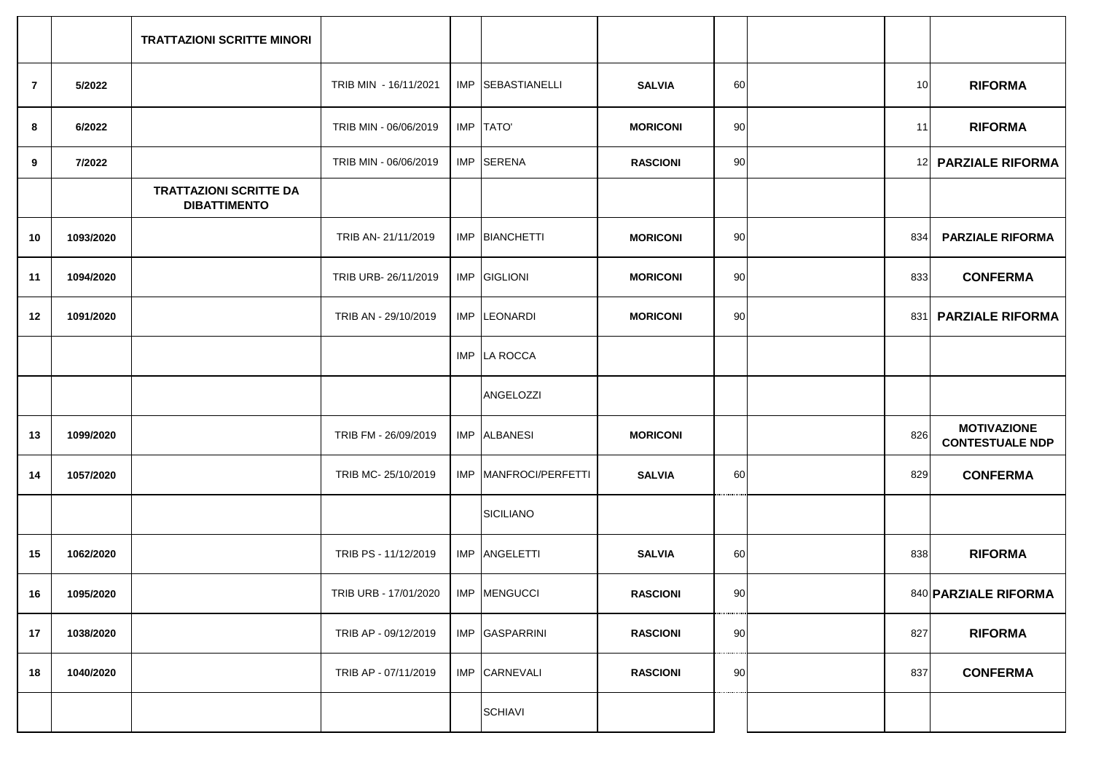|                |           | <b>TRATTAZIONI SCRITTE MINORI</b>                    |                       |                         |                 |    |     |                                              |
|----------------|-----------|------------------------------------------------------|-----------------------|-------------------------|-----------------|----|-----|----------------------------------------------|
| $\overline{7}$ | 5/2022    |                                                      | TRIB MIN - 16/11/2021 | IMP SEBASTIANELLI       | <b>SALVIA</b>   | 60 | 10  | <b>RIFORMA</b>                               |
| 8              | 6/2022    |                                                      | TRIB MIN - 06/06/2019 | IMP TATO'               | <b>MORICONI</b> | 90 | 11  | <b>RIFORMA</b>                               |
| 9              | 7/2022    |                                                      | TRIB MIN - 06/06/2019 | IMP SERENA              | <b>RASCIONI</b> | 90 |     | 12 PARZIALE RIFORMA                          |
|                |           | <b>TRATTAZIONI SCRITTE DA</b><br><b>DIBATTIMENTO</b> |                       |                         |                 |    |     |                                              |
| 10             | 1093/2020 |                                                      | TRIB AN- 21/11/2019   | IMP BIANCHETTI          | <b>MORICONI</b> | 90 | 834 | <b>PARZIALE RIFORMA</b>                      |
| 11             | 1094/2020 |                                                      | TRIB URB-26/11/2019   | IMP GIGLIONI            | <b>MORICONI</b> | 90 | 833 | <b>CONFERMA</b>                              |
| 12             | 1091/2020 |                                                      | TRIB AN - 29/10/2019  | IMP LEONARDI            | <b>MORICONI</b> | 90 | 831 | <b>PARZIALE RIFORMA</b>                      |
|                |           |                                                      |                       | IMP LA ROCCA            |                 |    |     |                                              |
|                |           |                                                      |                       | ANGELOZZI               |                 |    |     |                                              |
| 13             | 1099/2020 |                                                      | TRIB FM - 26/09/2019  | IMP ALBANESI            | <b>MORICONI</b> |    | 826 | <b>MOTIVAZIONE</b><br><b>CONTESTUALE NDP</b> |
| 14             | 1057/2020 |                                                      | TRIB MC-25/10/2019    | IMP   MANFROCI/PERFETTI | <b>SALVIA</b>   | 60 | 829 | <b>CONFERMA</b>                              |
|                |           |                                                      |                       | <b>SICILIANO</b>        |                 |    |     |                                              |
| 15             | 1062/2020 |                                                      | TRIB PS - 11/12/2019  | IMP ANGELETTI           | <b>SALVIA</b>   | 60 | 838 | <b>RIFORMA</b>                               |
| 16             | 1095/2020 |                                                      | TRIB URB - 17/01/2020 | IMP MENGUCCI            | <b>RASCIONI</b> | 90 |     | 840 PARZIALE RIFORMA                         |
| 17             | 1038/2020 |                                                      | TRIB AP - 09/12/2019  | IMP GASPARRINI          | <b>RASCIONI</b> | 90 | 827 | <b>RIFORMA</b>                               |
| 18             | 1040/2020 |                                                      | TRIB AP - 07/11/2019  | IMP CARNEVALI           | <b>RASCIONI</b> | 90 | 837 | <b>CONFERMA</b>                              |
|                |           |                                                      |                       | <b>SCHIAVI</b>          |                 |    |     |                                              |